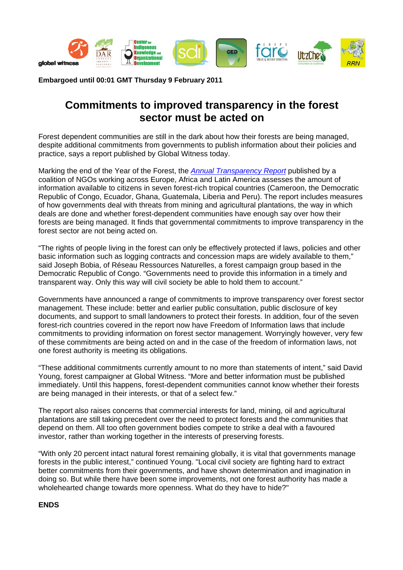

**Embargoed until 00:01 GMT Thursday 9 February 2011** 

## **Commitments to improved transparency in the forest sector must be acted on**

Forest dependent communities are still in the dark about how their forests are being managed, despite additional commitments from governments to publish information about their policies and practice, says a report published by Global Witness today.

Marking the end of the Year of the Forest, the *[Annual Transparency Report](http://www.foresttransparency.info/)* published by a coalition of NGOs working across Europe, Africa and Latin America assesses the amount of information available to citizens in seven forest-rich tropical countries (Cameroon, the Democratic Republic of Congo, Ecuador, Ghana, Guatemala, Liberia and Peru). The report includes measures of how governments deal with threats from mining and agricultural plantations, the way in which deals are done and whether forest-dependent communities have enough say over how their forests are being managed. It finds that governmental commitments to improve transparency in the forest sector are not being acted on.

"The rights of people living in the forest can only be effectively protected if laws, policies and other basic information such as logging contracts and concession maps are widely available to them," said Joseph Bobia, of Réseau Ressources Naturelles, a forest campaign group based in the Democratic Republic of Congo. "Governments need to provide this information in a timely and transparent way. Only this way will civil society be able to hold them to account."

Governments have announced a range of commitments to improve transparency over forest sector management. These include: better and earlier public consultation, public disclosure of key documents, and support to small landowners to protect their forests. In addition, four of the seven forest-rich countries covered in the report now have Freedom of Information laws that include commitments to providing information on forest sector management. Worryingly however, very few of these commitments are being acted on and in the case of the freedom of information laws, not one forest authority is meeting its obligations.

"These additional commitments currently amount to no more than statements of intent," said David Young, forest campaigner at Global Witness. "More and better information must be published immediately. Until this happens, forest-dependent communities cannot know whether their forests are being managed in their interests, or that of a select few."

The report also raises concerns that commercial interests for land, mining, oil and agricultural plantations are still taking precedent over the need to protect forests and the communities that depend on them. All too often government bodies compete to strike a deal with a favoured investor, rather than working together in the interests of preserving forests.

"With only 20 percent intact natural forest remaining globally, it is vital that governments manage forests in the public interest," continued Young. "Local civil society are fighting hard to extract better commitments from their governments, and have shown determination and imagination in doing so. But while there have been some improvements, not one forest authority has made a wholehearted change towards more openness. What do they have to hide?"

## **ENDS**